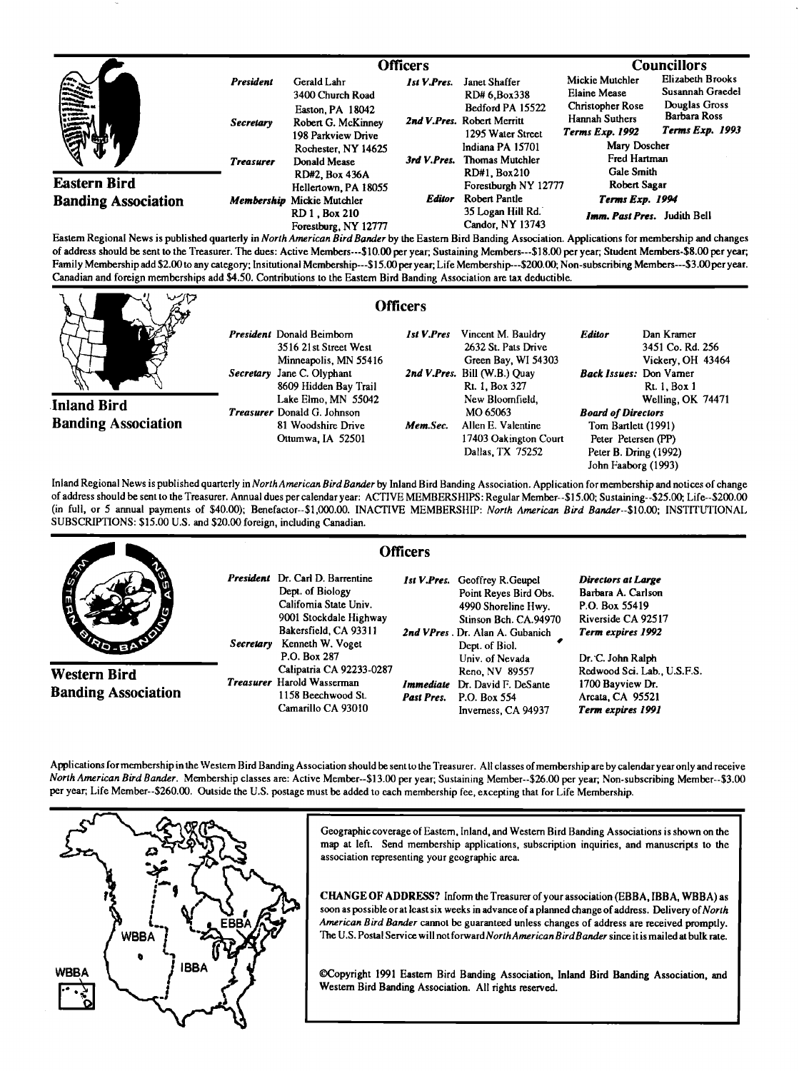|                                                   |                               | <b>Officers</b>                                                                      |                    |                                                                                 | <b>Councillors</b>                                                                  |                                                                              |
|---------------------------------------------------|-------------------------------|--------------------------------------------------------------------------------------|--------------------|---------------------------------------------------------------------------------|-------------------------------------------------------------------------------------|------------------------------------------------------------------------------|
| <b>SERVICE</b>                                    | President<br><b>Secretary</b> | Gerald Lahr<br>3400 Church Road<br>Easton, PA 18042<br>Robert G. McKinney            | <b>Ist V.Pres.</b> | Janet Shaffer<br>RD# 6.Box338<br>Bedford PA 15522<br>2nd V.Pres. Robert Merritt | Mickie Mutchler<br><b>Elaine Mease</b><br><b>Christopher Rose</b><br>Hannah Suthers | Elizabeth Brooks<br>Susannah Graedel<br>Douglas Gross<br><b>Barbara Ross</b> |
|                                                   |                               | 198 Parkview Drive<br>Rochester, NY 14625                                            | 3rd V.Pres.        | 1295 Water Street<br>Indiana PA 15701<br>Thomas Mutchler                        | <b>Terms Exp. 1992</b><br>Mary Doscher<br>Fred Hartman                              | Terms Exp. 1993                                                              |
| <b>Eastern Bird</b><br><b>Banding Association</b> | <b>Treasurer</b>              | Donald Mease<br>RD#2, Box 436A<br>Hellertown, PA 18055<br>Membership Mickie Mutchler | Editor             | RD#1, Box210<br>Forestburgh NY 12777                                            | Gale Smith<br>Robert Sagar                                                          |                                                                              |
|                                                   |                               |                                                                                      |                    | Robert Pantle                                                                   | Terms Exp. 1994                                                                     |                                                                              |
|                                                   |                               | RD 1 . Box 210<br>Forestburg, NY 12777                                               |                    | 35 Logan Hill Rd.<br>Candor, NY 13743                                           | Imm. Past Pres. Judith Bell                                                         |                                                                              |

**Eastam Regional News is published quarterly in North American BirdBander by the Eastem Bird Banding Association. Applications for membership and changes**  of address should be sent to the Treasurer. The dues: Active Members---\$10.00 per year; Sustaining Members---\$18.00 per year; Student Members-\$8.00 per year; Family Membership add \$2.00 to any category; Insitutional Membership---\$15.00 per year; Life Membership---\$200.00; Non-subscribing Members---\$3.00 per year. **Canadian and foreign memberships add \$4.50. Contributions to the Eastern Bird Banding Association are tax deductible.** 

**Inland Bird Banding Association**  **President Donald Beimbom 3516 21st Street West Minneapolis, MN 55416 Secretary Jane C. Olyphant 8609 Hidden Bay Trail Lake EImo, MN 55042 Treasurer Donald G. Johnson 81 Woodshire Drive Ottumwa, IA 52501** 

## **Officers**

**1st V.Pres Vincent M. Bauldry 2632 St. Pats Drive Green Bay, Wl 54303 2nd V.Pres. Bill (W.B.) Quay Rt. 1, Box 327 New Bloomfield, MO 65063 Mem.Sec.** Allen E. Valentine **17403 Oakington Court Dallas, TX 75252 Editor Dan Kramer 3451 Co. Rd. 256 Vickery, OH 43464 Back Issues: Don Vamer Rt. 1, Box 1 Welling, OK 74471 Board of Directors Tom Bartlett (1991)**  Peter Petersen (PP) **Peter B. Dring (1992) John Faaborg (1993)** 

**Inland Regional News is published quarterly inNorthAmerican Bird Bander by Inland Bird Banding Association. Application for membership and notices of change of address should be sent to the Treasurer. Annual dues per calendar year: ACTIVE MEMBERSHIPS: Regular Member--\$15.00; Sustaining--S25.00; Life--S200.00 (in full, or 5 annual payments of \$40.00); Benefactor--S1,000.00. INACTIVE MEMBERSItlP: North American Bird Banter--S10.00; INSTITUTIONAL SUBSCRIPTIONS: \$15.00 U.S. and \$20.00 foreign, including Canadian.** 



**Applications for membership in the Westem Bird Banding Association should be sent to the Treasurer. All classes of membership areby calendar year only and receive North American Bird Bander. Membership classes are: Active Member--S13.00 peryear; Sustaining Member--S26.00 peryear; Non-subscribing Member--S3.00 per year; Life Member--S260.00. Outside the U.S. postage must be added to each membership fee, excepting that for Life Membership.** 



Geographic coverage of Eastern, Inland, and Western Bird Banding Associations is shown on the map at left. Send membership applications, subscription inquiries, and manuscripts to the **association representing your geographic area.** 

**CHANGE OF ADDRESS? Inform the Treasurer of your association (EBBA, IBBA, WBBA) as**  soon as possible or at least six weeks in advance of a planned change of address. Delivery of North American Bird Bander cannot be guaranteed unless changes of address are received promptly. **The U.S. Postal Service will not forwardNorthAmerican BirdBander since it is mailed at bulk rate.** 

**•opyright 1991 Eastern Bird Banding Association, Inland Bird Banding Association, and Westem Bird Banding Association. All rights reserved.**